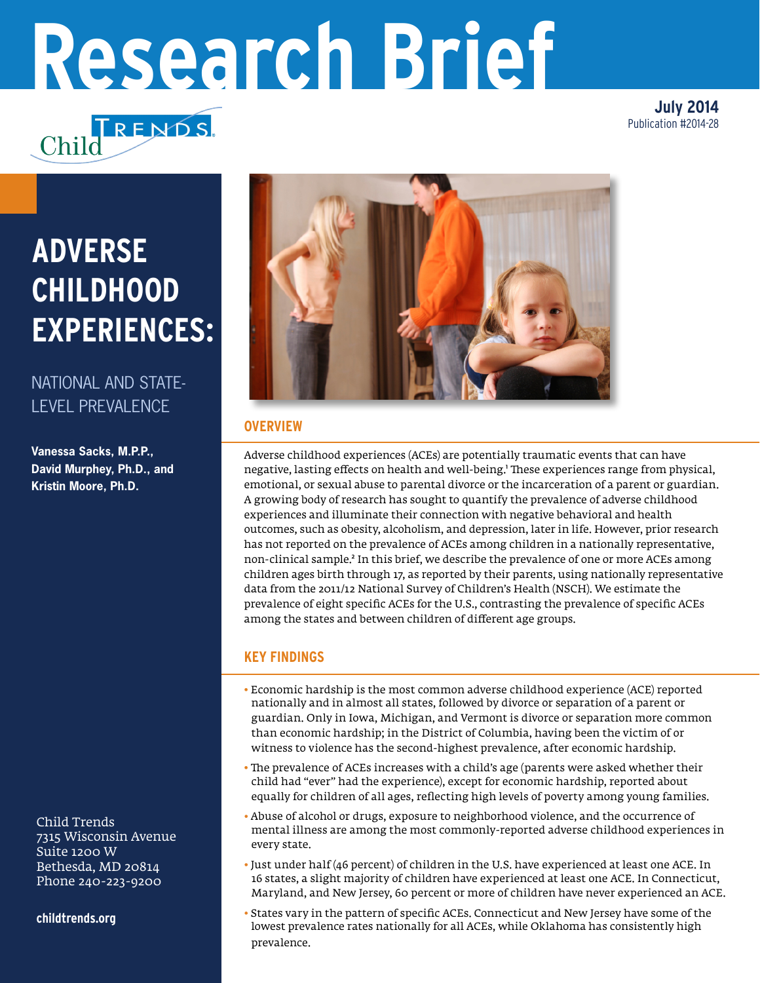# **Research Brief**

TRENDS

**July 2014** Publication #2014-28

# **ADVERSE CHILDHOOD EXPERIENCES:**

# NATIONAL AND STATE-LEVEL PREVALENCE

**Vanessa Sacks, M.P.P., David Murphey, Ph.D., and Kristin Moore, Ph.D.**

Child Trends 7315 Wisconsin Avenue Suite 1200 W Bethesda, MD 20814 Phone 240-223-9200

**childtrends.org**



### **OVERVIEW**

Adverse childhood experiences (ACEs) are potentially traumatic events that can have negative, lasting effects on health and well-being.' These experiences range from physical, emotional, or sexual abuse to parental divorce or the incarceration of a parent or guardian. A growing body of research has sought to quantify the prevalence of adverse childhood experiences and illuminate their connection with negative behavioral and health outcomes, such as obesity, alcoholism, and depression, later in life. However, prior research has not reported on the prevalence of ACEs among children in a nationally representative, non-clinical sample.² In this brief, we describe the prevalence of one or more ACEs among children ages birth through 17, as reported by their parents, using nationally representative data from the 2011/12 National Survey of Children's Health (NSCH). We estimate the prevalence of eight specific ACEs for the U.S., contrasting the prevalence of specific ACEs among the states and between children of different age groups.

## **KEY FINDINGS**

- Economic hardship is the most common adverse childhood experience (ACE) reported nationally and in almost all states, followed by divorce or separation of a parent or guardian. Only in Iowa, Michigan, and Vermont is divorce or separation more common than economic hardship; in the District of Columbia, having been the victim of or witness to violence has the second-highest prevalence, after economic hardship.
- The prevalence of ACEs increases with a child's age (parents were asked whether their child had "ever" had the experience), except for economic hardship, reported about equally for children of all ages, reflecting high levels of poverty among young families.
- Abuse of alcohol or drugs, exposure to neighborhood violence, and the occurrence of mental illness are among the most commonly-reported adverse childhood experiences in every state.
- Just under half (46 percent) of children in the U.S. have experienced at least one ACE. In 16 states, a slight majority of children have experienced at least one ACE. In Connecticut, Maryland, and New Jersey, 60 percent or more of children have never experienced an ACE.
- States vary in the pattern of specific ACEs. Connecticut and New Jersey have some of the lowest prevalence rates nationally for all ACEs, while Oklahoma has consistently high prevalence.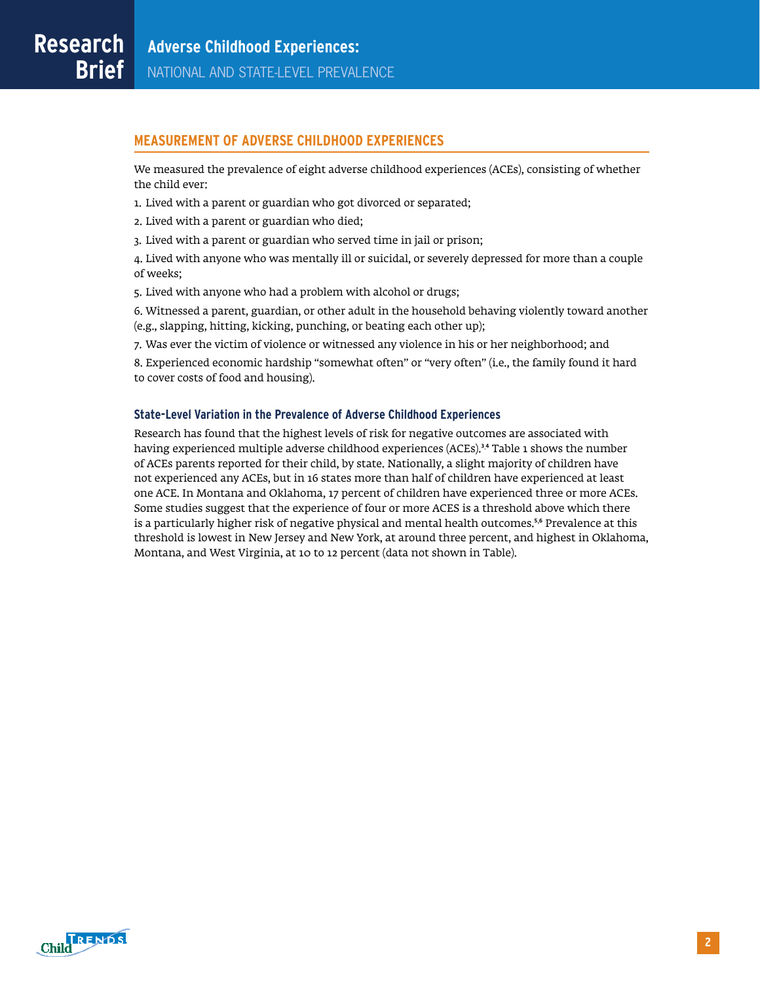#### **MEASUREMENT OF ADVERSE CHILDHOOD EXPERIENCES**

We measured the prevalence of eight adverse childhood experiences (ACEs), consisting of whether the child ever:

- 1. Lived with a parent or guardian who got divorced or separated;
- 2. Lived with a parent or guardian who died;
- 3. Lived with a parent or guardian who served time in jail or prison;

4. Lived with anyone who was mentally ill or suicidal, or severely depressed for more than a couple of weeks;

5. Lived with anyone who had a problem with alcohol or drugs;

6. Witnessed a parent, guardian, or other adult in the household behaving violently toward another (e.g., slapping, hitting, kicking, punching, or beating each other up);

7. Was ever the victim of violence or witnessed any violence in his or her neighborhood; and

8. Experienced economic hardship "somewhat often" or "very often" (i.e., the family found it hard to cover costs of food and housing).

#### **State-Level Variation in the Prevalence of Adverse Childhood Experiences**

Research has found that the highest levels of risk for negative outcomes are associated with having experienced multiple adverse childhood experiences (ACEs). $^{\text{3,4}}$  Table 1 shows the number of ACEs parents reported for their child, by state. Nationally, a slight majority of children have not experienced any ACEs, but in 16 states more than half of children have experienced at least one ACE. In Montana and Oklahoma, 17 percent of children have experienced three or more ACEs. Some studies suggest that the experience of four or more ACES is a threshold above which there is a particularly higher risk of negative physical and mental health outcomes.⁵, ⁶ Prevalence at this threshold is lowest in New Jersey and New York, at around three percent, and highest in Oklahoma, Montana, and West Virginia, at 10 to 12 percent (data not shown in Table).

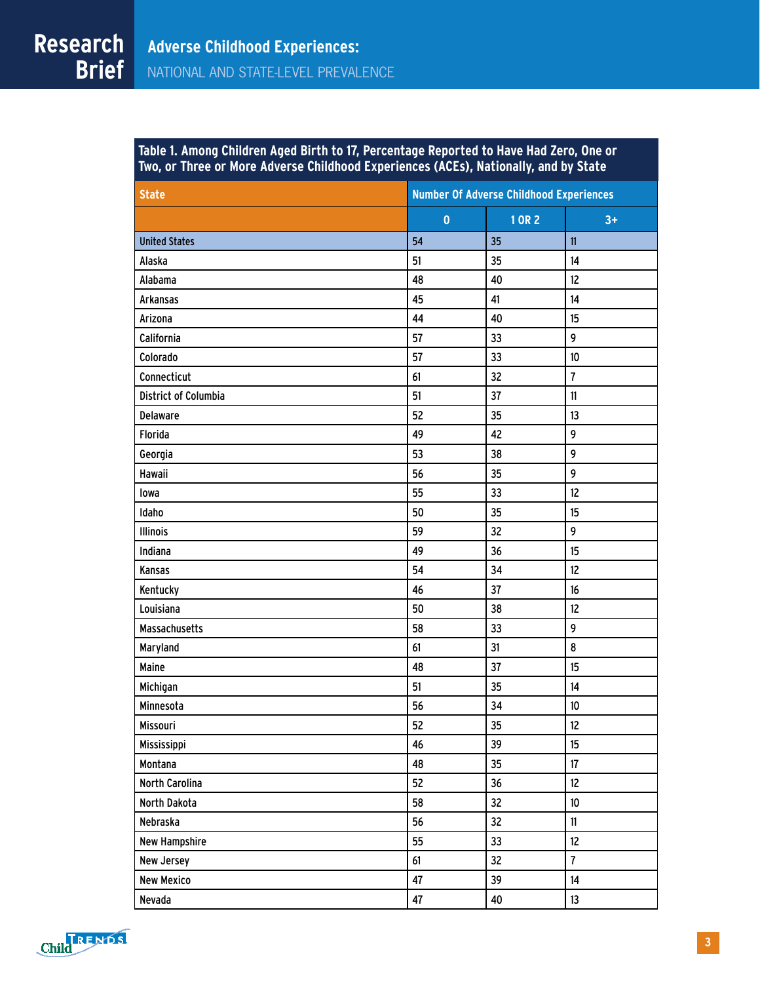| <b>State</b>                | <b>Number Of Adverse Childhood Experiences</b> |                |                 |  |  |  |  |
|-----------------------------|------------------------------------------------|----------------|-----------------|--|--|--|--|
|                             | $\mathbf 0$                                    | 1 OR 2<br>$3+$ |                 |  |  |  |  |
| <b>United States</b>        | 54                                             | 35             | 11              |  |  |  |  |
|                             |                                                |                |                 |  |  |  |  |
| Alaska                      | 51                                             | 35             | 14              |  |  |  |  |
| Alabama                     | 48                                             | 40             | 12              |  |  |  |  |
| <b>Arkansas</b>             | 45                                             | 41             | 14              |  |  |  |  |
| Arizona                     | 44                                             | 40<br>33       | 15<br>9         |  |  |  |  |
| California                  | 57                                             |                |                 |  |  |  |  |
| Colorado                    | 57                                             | 33             | 10              |  |  |  |  |
| Connecticut                 | 61                                             | 32             | 7               |  |  |  |  |
| <b>District of Columbia</b> | 51                                             | 37             | 11              |  |  |  |  |
| <b>Delaware</b>             | 52                                             | 35             | 13              |  |  |  |  |
| Florida                     | 49                                             | 42             | 9               |  |  |  |  |
| Georgia                     | 53                                             | 38             | 9               |  |  |  |  |
| Hawaii                      | 56                                             | 35             | 9               |  |  |  |  |
| lowa                        | 55                                             | 33             | 12              |  |  |  |  |
| Idaho                       | 50                                             | 35             | 15              |  |  |  |  |
| <b>Illinois</b>             | 59                                             | 32             | 9               |  |  |  |  |
| Indiana                     | 49                                             | 36             | 15              |  |  |  |  |
| Kansas                      | 54                                             | 34             | 12              |  |  |  |  |
| Kentucky                    | 46                                             | 37             | 16              |  |  |  |  |
| Louisiana                   | 50                                             | 38             | 12              |  |  |  |  |
| <b>Massachusetts</b>        | 58                                             | 33             | 9               |  |  |  |  |
| Maryland                    | 61                                             | 31             | 8               |  |  |  |  |
| <b>Maine</b>                | 48                                             | 37             | 15              |  |  |  |  |
| Michigan                    | 51                                             | 35             | 14              |  |  |  |  |
| Minnesota                   | 56                                             | 34             | 10              |  |  |  |  |
| Missouri                    | 52                                             | 35             | 12              |  |  |  |  |
| Mississippi                 | 46                                             | 39             | 15              |  |  |  |  |
| Montana                     | 48                                             | 35             | 17              |  |  |  |  |
| North Carolina              | 52                                             | 36             | 12 <sup>°</sup> |  |  |  |  |
| North Dakota                | 58                                             | 32             | 10              |  |  |  |  |
| Nebraska                    | 56                                             | 32             | $\mathbf{11}$   |  |  |  |  |
| <b>New Hampshire</b>        | 55                                             | 33             | 12              |  |  |  |  |
| New Jersey                  | 61                                             | 32             | $\overline{7}$  |  |  |  |  |
| <b>New Mexico</b>           | 47                                             | 39             | 14              |  |  |  |  |
| Nevada                      | 47                                             | 40             | 13              |  |  |  |  |

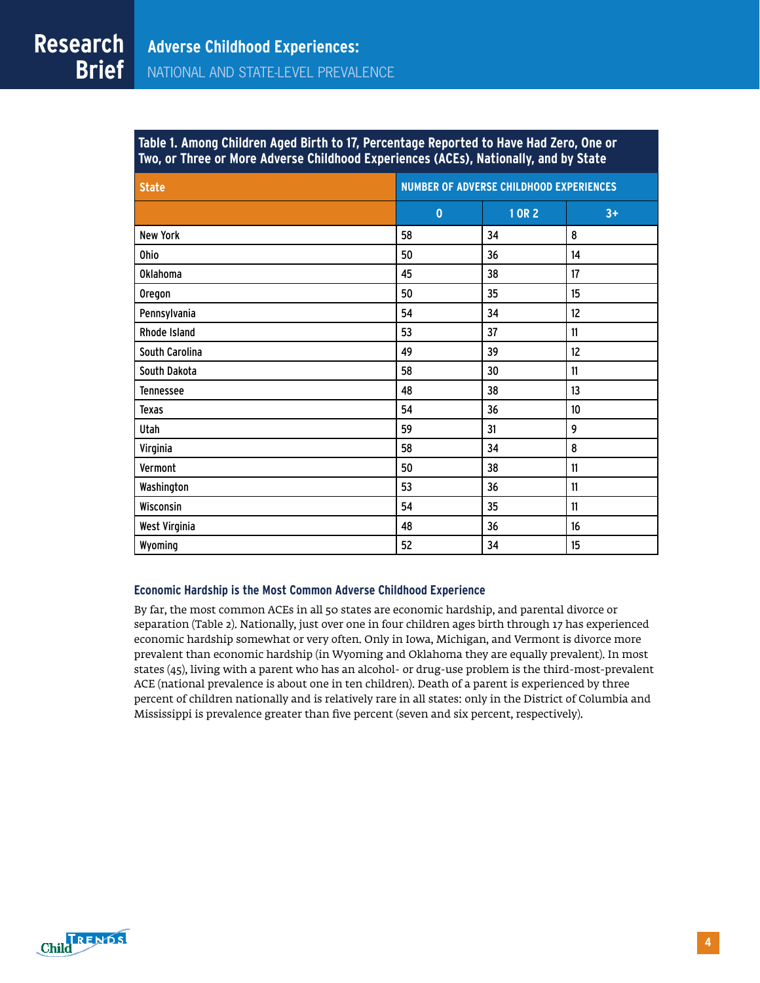| Table 1. Among Children Aged Birth to 17, Percentage Reported to Have Had Zero, One or ;                 |  |
|----------------------------------------------------------------------------------------------------------|--|
| <u>Two, or Three or More</u> Adverse Childhood Experiences (ACEs), Nationally, and by State <sub>I</sub> |  |

| <b>State</b>     | <b>NUMBER OF ADVERSE CHILDHOOD EXPERIENCES</b> |        |               |  |  |  |  |
|------------------|------------------------------------------------|--------|---------------|--|--|--|--|
|                  | $\mathbf{0}$                                   | 1 OR 2 | $3+$          |  |  |  |  |
| <b>New York</b>  | 58                                             | 34     | 8             |  |  |  |  |
| Ohio             | 50                                             | 36     | 14            |  |  |  |  |
| <b>Oklahoma</b>  | 45                                             | 38     | 17            |  |  |  |  |
| <b>Oregon</b>    | 50                                             | 35     | 15            |  |  |  |  |
| Pennsylvania     | 54                                             | 34     | 12            |  |  |  |  |
| Rhode Island     | 53                                             | 37     | 11            |  |  |  |  |
| South Carolina   | 49                                             | 39     | 12            |  |  |  |  |
| South Dakota     | 58                                             | 30     | 11            |  |  |  |  |
| <b>Tennessee</b> | 48                                             | 38     | 13            |  |  |  |  |
| Texas            | 54                                             | 36     | 10            |  |  |  |  |
| Utah             | 59                                             | 31     | 9             |  |  |  |  |
| Virginia         | 58                                             | 34     | 8             |  |  |  |  |
| Vermont          | 50                                             | 38     | $\mathbf{11}$ |  |  |  |  |
| Washington       | 53                                             | 36     | 11            |  |  |  |  |
| Wisconsin        | 54                                             | 35     | 11            |  |  |  |  |
| West Virginia    | 48                                             | 36     | 16            |  |  |  |  |
| Wyoming          | 52                                             | 34     | 15            |  |  |  |  |

#### **Economic Hardship is the Most Common Adverse Childhood Experience**

By far, the most common ACEs in all 50 states are economic hardship, and parental divorce or separation (Table 2). Nationally, just over one in four children ages birth through 17 has experienced economic hardship somewhat or very often. Only in Iowa, Michigan, and Vermont is divorce more prevalent than economic hardship (in Wyoming and Oklahoma they are equally prevalent). In most states (45), living with a parent who has an alcohol- or drug-use problem is the third-most-prevalent ACE (national prevalence is about one in ten children). Death of a parent is experienced by three percent of children nationally and is relatively rare in all states: only in the District of Columbia and Mississippi is prevalence greater than five percent (seven and six percent, respectively).

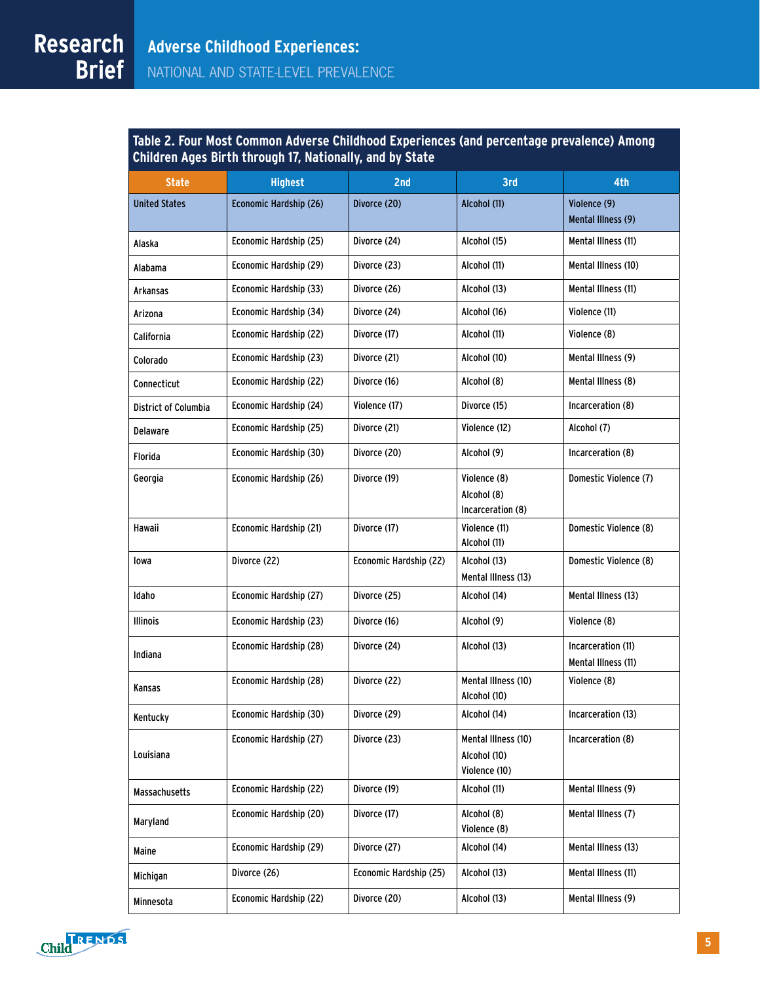**Research Table 2. Four Most Common Adverse Childhood Experiences (and percentage prevalence) Among Children Ages Birth through 17, Nationally, and by State**

| <b>State</b>                | <b>Highest</b>         | 2 <sub>nd</sub>        | 3rd                                                  | 4th                                       |  |
|-----------------------------|------------------------|------------------------|------------------------------------------------------|-------------------------------------------|--|
| <b>United States</b>        | Economic Hardship (26) | Divorce (20)           | Alcohol (11)                                         | Violence (9)<br>Mental Illness (9)        |  |
| Alaska                      | Economic Hardship (25) | Divorce (24)           | Alcohol (15)                                         | Mental Illness (11)                       |  |
| Alabama                     | Economic Hardship (29) | Divorce (23)           | Alcohol (11)                                         | Mental Illness (10)                       |  |
| Arkansas                    | Economic Hardship (33) | Divorce (26)           | Alcohol (13)                                         | Mental Illness (11)                       |  |
| Arizona                     | Economic Hardship (34) | Divorce (24)           | Alcohol (16)                                         | Violence (11)                             |  |
| California                  | Economic Hardship (22) | Divorce (17)           | Alcohol (11)                                         | Violence (8)                              |  |
| Colorado                    | Economic Hardship (23) | Divorce (21)           | Alcohol (10)                                         | Mental Illness (9)                        |  |
| Connecticut                 | Economic Hardship (22) | Divorce (16)           | Alcohol (8)                                          | Mental Illness (8)                        |  |
| <b>District of Columbia</b> | Economic Hardship (24) | Violence (17)          | Divorce (15)                                         | Incarceration (8)                         |  |
| Delaware                    | Economic Hardship (25) | Divorce (21)           | Violence (12)                                        | Alcohol (7)                               |  |
| Florida                     | Economic Hardship (30) | Divorce (20)           | Alcohol (9)                                          | Incarceration (8)                         |  |
| Georgia                     | Economic Hardship (26) | Divorce (19)           | Violence (8)<br>Alcohol (8)<br>Incarceration (8)     | Domestic Violence (7)                     |  |
| <b>Hawaii</b>               | Economic Hardship (21) | Divorce (17)           | Violence (11)<br>Alcohol (11)                        | Domestic Violence (8)                     |  |
| lowa                        | Divorce (22)           | Economic Hardship (22) | Alcohol (13)<br>Mental Illness (13)                  | Domestic Violence (8)                     |  |
| Idaho                       | Economic Hardship (27) | Divorce (25)           | Alcohol (14)                                         | Mental Illness (13)                       |  |
| <b>Illinois</b>             | Economic Hardship (23) | Divorce (16)           | Alcohol (9)                                          | Violence (8)                              |  |
| Indiana                     | Economic Hardship (28) | Divorce (24)           | Alcohol (13)                                         | Incarceration (11)<br>Mental Illness (11) |  |
| Kansas                      | Economic Hardship (28) | Divorce (22)           | Mental Illness (10)<br>Alcohol (10)                  | Violence (8)                              |  |
| Kentucky                    | Economic Hardship (30) | Divorce (29)           | Alcohol (14)                                         | Incarceration (13)                        |  |
| Louisiana                   | Economic Hardship (27) | Divorce (23)           | Mental Illness (10)<br>Alcohol (10)<br>Violence (10) | Incarceration (8)                         |  |
| <b>Massachusetts</b>        | Economic Hardship (22) | Divorce (19)           | Alcohol (11)                                         | Mental Illness (9)                        |  |
| Maryland                    | Economic Hardship (20) | Divorce (17)           | Alcohol (8)<br>Violence (8)                          | Mental Illness (7)                        |  |
| Maine                       | Economic Hardship (29) | Divorce (27)           | Alcohol (14)                                         | Mental Illness (13)                       |  |
| Michigan                    | Divorce (26)           | Economic Hardship (25) | Alcohol (13)                                         | Mental Illness (11)                       |  |
| Minnesota                   | Economic Hardship (22) | Divorce (20)           | Alcohol (13)                                         | Mental Illness (9)                        |  |
|                             |                        |                        |                                                      |                                           |  |

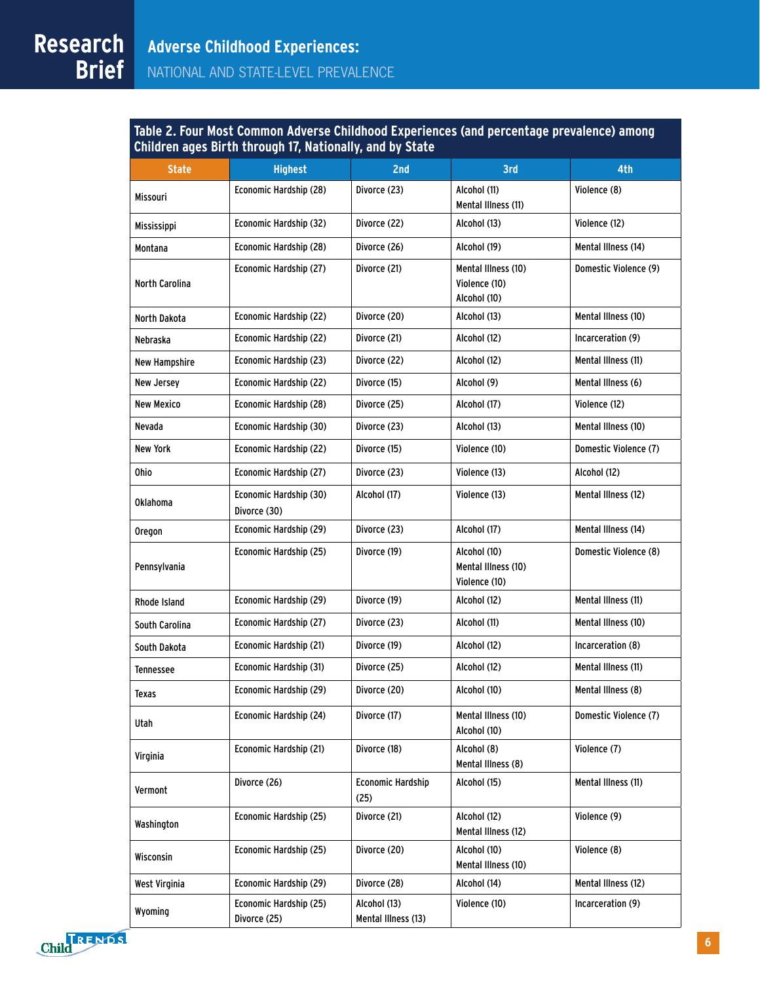**Research Table 2. Four Most Common Adverse Childhood Experiences (and percentage prevalence) among Children ages Birth through 17, Nationally, and by State**

| <b>State</b>          | <b>Highest</b>                         | 2nd                                 | 3rd                                                  | 4th                   |
|-----------------------|----------------------------------------|-------------------------------------|------------------------------------------------------|-----------------------|
| Missouri              | Economic Hardship (28)                 | Divorce (23)                        | Alcohol (11)<br>Mental Illness (11)                  | Violence (8)          |
| Mississippi           | Economic Hardship (32)                 | Divorce (22)                        | Alcohol (13)                                         | Violence (12)         |
| Montana               | Economic Hardship (28)                 | Divorce (26)                        | Alcohol (19)                                         | Mental Illness (14)   |
| <b>North Carolina</b> | Economic Hardship (27)                 | Divorce (21)                        | Mental Illness (10)<br>Violence (10)<br>Alcohol (10) | Domestic Violence (9) |
| North Dakota          | Economic Hardship (22)                 | Divorce (20)                        | Alcohol (13)                                         | Mental Illness (10)   |
| Nebraska              | Economic Hardship (22)                 | Divorce (21)                        | Alcohol (12)                                         | Incarceration (9)     |
| New Hampshire         | Economic Hardship (23)                 | Divorce (22)                        | Alcohol (12)                                         | Mental Illness (11)   |
| New Jersey            | Economic Hardship (22)                 | Divorce (15)                        | Alcohol (9)                                          | Mental Illness (6)    |
| <b>New Mexico</b>     | Economic Hardship (28)                 | Divorce (25)                        | Alcohol (17)                                         | Violence (12)         |
| Nevada                | Economic Hardship (30)                 | Divorce (23)                        | Alcohol (13)                                         | Mental Illness (10)   |
| <b>New York</b>       | Economic Hardship (22)                 | Divorce (15)                        | Violence (10)                                        | Domestic Violence (7) |
| <b>Ohio</b>           | Economic Hardship (27)                 | Divorce (23)                        | Violence (13)                                        | Alcohol (12)          |
| <b>Oklahoma</b>       | Economic Hardship (30)<br>Divorce (30) | Alcohol (17)                        | Violence (13)                                        | Mental Illness (12)   |
| Oregon                | Economic Hardship (29)                 | Divorce (23)                        | Alcohol (17)                                         | Mental Illness (14)   |
| Pennsylvania          | Economic Hardship (25)                 | Divorce (19)                        | Alcohol (10)<br>Mental Illness (10)<br>Violence (10) | Domestic Violence (8) |
| Rhode Island          | Economic Hardship (29)                 | Divorce (19)                        | Alcohol (12)                                         | Mental Illness (11)   |
| South Carolina        | Economic Hardship (27)                 | Divorce (23)                        | Alcohol (11)                                         | Mental Illness (10)   |
| South Dakota          | Economic Hardship (21)                 | Divorce (19)                        | Alcohol (12)                                         | Incarceration (8)     |
| Tennessee             | Economic Hardship (31)                 | Divorce (25)                        | Alcohol (12)                                         | Mental Illness (11)   |
| Texas                 | Economic Hardship (29)                 | Divorce (20)                        | Alcohol (10)                                         | Mental Illness (8)    |
| Utah                  | Economic Hardship (24)                 | Divorce (17)                        | Mental Illness (10)<br>Alcohol (10)                  | Domestic Violence (7) |
| Virginia              | Economic Hardship (21)                 | Divorce (18)                        | Alcohol (8)<br>Mental Illness (8)                    | Violence (7)          |
| Vermont               | Divorce (26)                           | <b>Economic Hardship</b><br>(25)    | Alcohol (15)                                         | Mental Illness (11)   |
| Washington            | Economic Hardship (25)                 | Divorce (21)                        | Alcohol (12)<br>Mental Illness (12)                  | Violence (9)          |
| Wisconsin             | Economic Hardship (25)                 | Divorce (20)                        | Alcohol (10)<br>Mental Illness (10)                  | Violence (8)          |
| West Virginia         | Economic Hardship (29)                 | Divorce (28)                        | Alcohol (14)                                         | Mental Illness (12)   |
| Wyoming               | Economic Hardship (25)<br>Divorce (25) | Alcohol (13)<br>Mental Illness (13) | Violence (10)                                        | Incarceration (9)     |

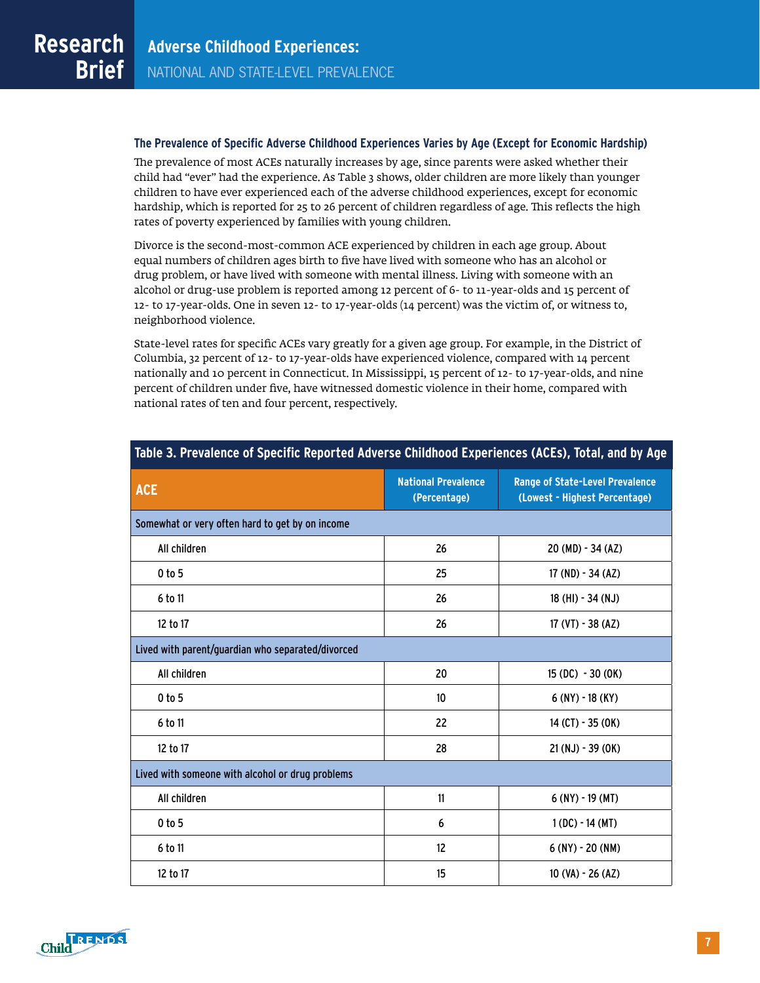#### **The Prevalence of Specific Adverse Childhood Experiences Varies by Age (Except for Economic Hardship)**

The prevalence of most ACEs naturally increases by age, since parents were asked whether their child had "ever" had the experience. As Table 3 shows, older children are more likely than younger children to have ever experienced each of the adverse childhood experiences, except for economic hardship, which is reported for 25 to 26 percent of children regardless of age. This reflects the high rates of poverty experienced by families with young children.

Divorce is the second-most-common ACE experienced by children in each age group. About equal numbers of children ages birth to five have lived with someone who has an alcohol or drug problem, or have lived with someone with mental illness. Living with someone with an alcohol or drug-use problem is reported among 12 percent of 6- to 11-year-olds and 15 percent of 12- to 17-year-olds. One in seven 12- to 17-year-olds (14 percent) was the victim of, or witness to, neighborhood violence.

State-level rates for specific ACEs vary greatly for a given age group. For example, in the District of Columbia, 32 percent of 12- to 17-year-olds have experienced violence, compared with 14 percent nationally and 10 percent in Connecticut. In Mississippi, 15 percent of 12- to 17-year-olds, and nine percent of children under five, have witnessed domestic violence in their home, compared with national rates of ten and four percent, respectively.

| <b>ACE</b>                                        | <b>National Prevalence</b><br>(Percentage) | <b>Range of State-Level Prevalence</b><br>(Lowest - Highest Percentage) |  |  |  |  |  |  |  |
|---------------------------------------------------|--------------------------------------------|-------------------------------------------------------------------------|--|--|--|--|--|--|--|
| Somewhat or very often hard to get by on income   |                                            |                                                                         |  |  |  |  |  |  |  |
| All children                                      | 26                                         | 20 (MD) - 34 (AZ)                                                       |  |  |  |  |  |  |  |
| 0 to 5                                            | 25                                         | $17 (ND) - 34 (AZ)$                                                     |  |  |  |  |  |  |  |
| 6 to 11                                           | 26                                         | 18 (HI) - 34 (NJ)                                                       |  |  |  |  |  |  |  |
| 12 to 17                                          | 26                                         | 17 (VT) - 38 (AZ)                                                       |  |  |  |  |  |  |  |
| Lived with parent/guardian who separated/divorced |                                            |                                                                         |  |  |  |  |  |  |  |
| All children                                      | 20                                         | $15(DC) - 30(0K)$                                                       |  |  |  |  |  |  |  |
| 0 <sub>to</sub> 5                                 | 10                                         | $6$ (NY) - 18 (KY)                                                      |  |  |  |  |  |  |  |
| 6 to 11                                           | 22                                         | $14$ (CT) - 35 (OK)                                                     |  |  |  |  |  |  |  |
| 12 to 17                                          | 28                                         | $21 (NJ) - 39 (OK)$                                                     |  |  |  |  |  |  |  |
| Lived with someone with alcohol or drug problems  |                                            |                                                                         |  |  |  |  |  |  |  |
| All children                                      | 11                                         | $6$ (NY) - 19 (MT)                                                      |  |  |  |  |  |  |  |
| $0$ to 5                                          | 6                                          | $1(DC) - 14(MT)$                                                        |  |  |  |  |  |  |  |
| 6 to 11                                           | 12                                         | $6$ (NY) - 20 (NM)                                                      |  |  |  |  |  |  |  |
| 12 to 17                                          | 15                                         | 10 (VA) - 26 (AZ)                                                       |  |  |  |  |  |  |  |

#### **Table 3. Prevalence of Specific Reported Adverse Childhood Experiences (ACEs), Total, and by Age**

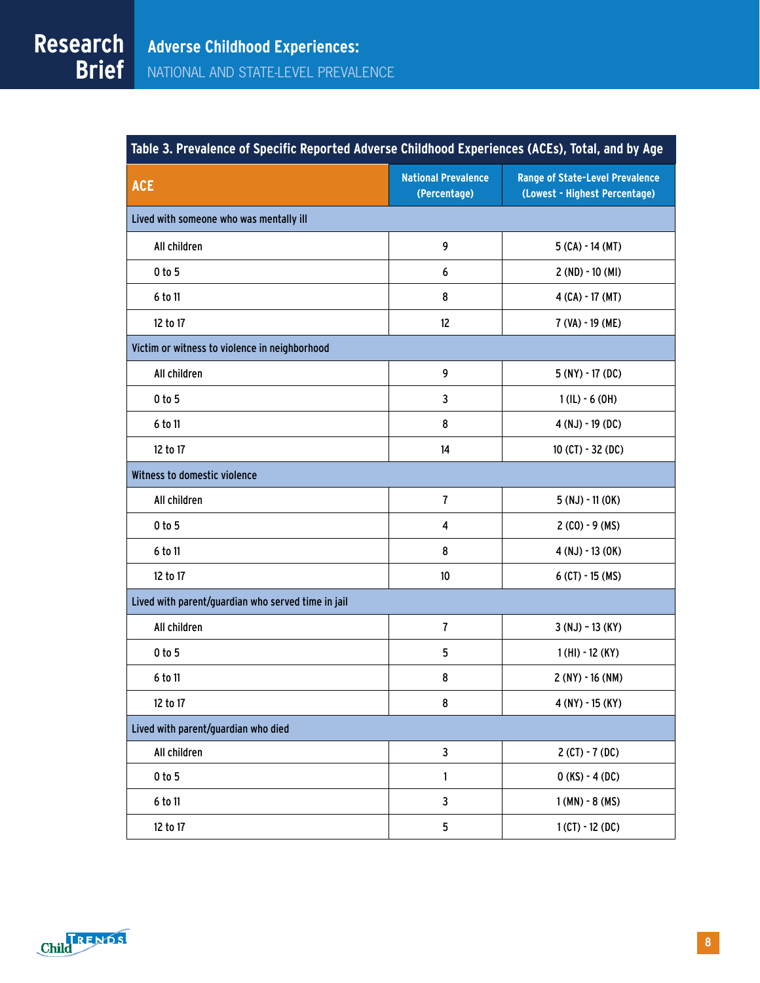| Table 3. Prevalence of Specific Reported Adverse Childhood Experiences (ACEs), Total, and by Age |                                            |                                                                         |  |  |  |  |  |
|--------------------------------------------------------------------------------------------------|--------------------------------------------|-------------------------------------------------------------------------|--|--|--|--|--|
| <b>ACE</b>                                                                                       | <b>National Prevalence</b><br>(Percentage) | <b>Range of State-Level Prevalence</b><br>(Lowest - Highest Percentage) |  |  |  |  |  |
| Lived with someone who was mentally ill                                                          |                                            |                                                                         |  |  |  |  |  |
| All children                                                                                     | 9                                          | $5$ (CA) - 14 (MT)                                                      |  |  |  |  |  |
| 0 to 5                                                                                           | 6                                          | $2 (ND) - 10 (MI)$                                                      |  |  |  |  |  |
| 6 to 11                                                                                          | 8                                          | $4$ (CA) - 17 (MT)                                                      |  |  |  |  |  |
| 12 to 17                                                                                         | 12                                         | 7 (VA) - 19 (ME)                                                        |  |  |  |  |  |
| Victim or witness to violence in neighborhood                                                    |                                            |                                                                         |  |  |  |  |  |
| All children                                                                                     | 9                                          | $5(NY) - 17(DC)$                                                        |  |  |  |  |  |
| 0 to 5                                                                                           | 3                                          | $1$ (IL) - 6 (OH)                                                       |  |  |  |  |  |
| 6 to 11                                                                                          | 8                                          | $4(NJ) - 19(DC)$                                                        |  |  |  |  |  |
| 12 to 17                                                                                         | 14                                         | $10$ (CT) - 32 (DC)                                                     |  |  |  |  |  |
| Witness to domestic violence                                                                     |                                            |                                                                         |  |  |  |  |  |
| All children                                                                                     | $\overline{1}$                             | $5(NJ) - 11(0K)$                                                        |  |  |  |  |  |
| 0 to 5                                                                                           | 4                                          | $2 (CO) - 9 (MS)$                                                       |  |  |  |  |  |
| 6 to 11                                                                                          | 8                                          | $4(NJ) - 13(0K)$                                                        |  |  |  |  |  |
| 12 to 17                                                                                         | $10$                                       | $6$ (CT) - 15 (MS)                                                      |  |  |  |  |  |
| Lived with parent/guardian who served time in jail                                               |                                            |                                                                         |  |  |  |  |  |
| All children                                                                                     | $\overline{\mathbf{r}}$                    | $3(NJ) - 13(KY)$                                                        |  |  |  |  |  |
| 0 to 5                                                                                           | 5                                          | $1(HI) - 12(KY)$                                                        |  |  |  |  |  |
| 6 to 11                                                                                          | 8                                          | $2(NY) - 16(NM)$                                                        |  |  |  |  |  |
| 12 to 17                                                                                         | 8                                          | $4 (NY) - 15 (KY)$                                                      |  |  |  |  |  |
| Lived with parent/guardian who died                                                              |                                            |                                                                         |  |  |  |  |  |
| All children                                                                                     | $\overline{\mathbf{3}}$                    | $2(CT) - 7(DC)$                                                         |  |  |  |  |  |
| $0$ to $5$                                                                                       | $\mathbf{1}$                               | $0(KS) - 4(DC)$                                                         |  |  |  |  |  |
| 6 to 11                                                                                          | $\mathbf{3}$                               | $1(MN) - 8(MS)$                                                         |  |  |  |  |  |
| 12 to 17                                                                                         | 5                                          | $1$ (CT) - 12 (DC)                                                      |  |  |  |  |  |



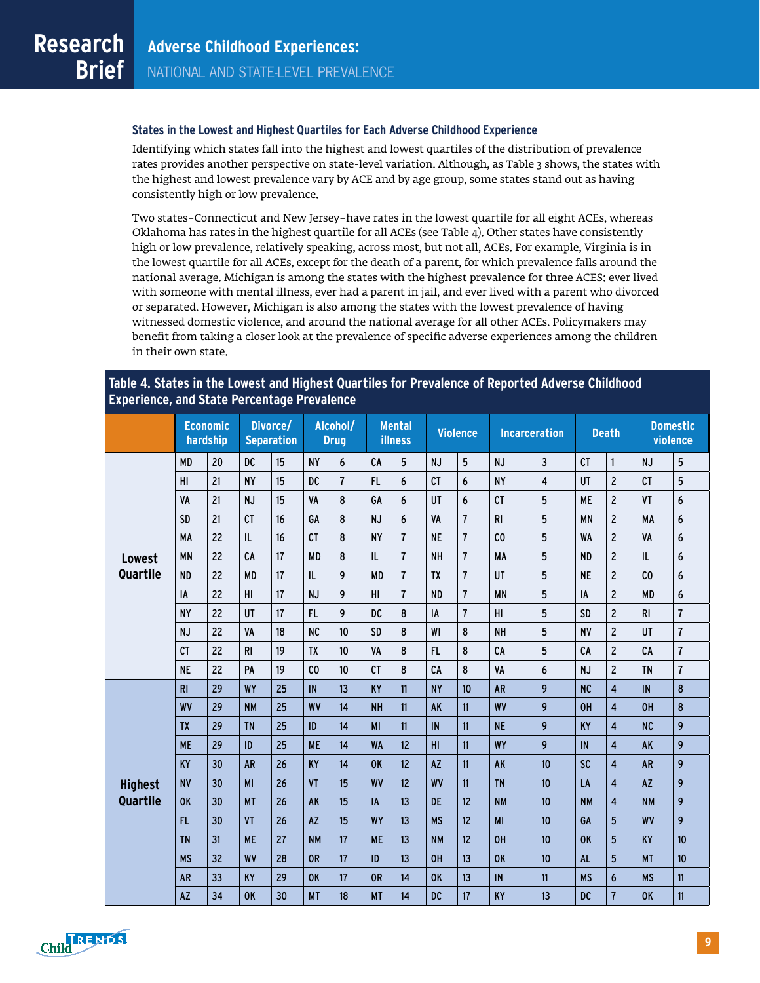#### **States in the Lowest and Highest Quartiles for Each Adverse Childhood Experience**

Identifying which states fall into the highest and lowest quartiles of the distribution of prevalence rates provides another perspective on state-level variation. Although, as Table 3 shows, the states with the highest and lowest prevalence vary by ACE and by age group, some states stand out as having consistently high or low prevalence.

Two states–Connecticut and New Jersey–have rates in the lowest quartile for all eight ACEs, whereas Oklahoma has rates in the highest quartile for all ACEs (see Table 4). Other states have consistently high or low prevalence, relatively speaking, across most, but not all, ACEs. For example, Virginia is in the lowest quartile for all ACEs, except for the death of a parent, for which prevalence falls around the national average. Michigan is among the states with the highest prevalence for three ACES: ever lived with someone with mental illness, ever had a parent in jail, and ever lived with a parent who divorced or separated. However, Michigan is also among the states with the lowest prevalence of having witnessed domestic violence, and around the national average for all other ACEs. Policymakers may benefit from taking a closer look at the prevalence of specific adverse experiences among the children in their own state.

#### **Table 4. States in the Lowest and Highest Quartiles for Prevalence of Reported Adverse Childhood Experience, and State Percentage Prevalence**

|                |                | <b>Economic</b><br>hardship |           | Divorce/<br><b>Separation</b> | Alcohol/<br><b>Drug</b> |                | <b>illness</b> | <b>Mental</b>  |           | <b>Violence</b> | <b>Incarceration</b> |                         |           | <b>Death</b>            |                | <b>Domestic</b><br>violence |
|----------------|----------------|-----------------------------|-----------|-------------------------------|-------------------------|----------------|----------------|----------------|-----------|-----------------|----------------------|-------------------------|-----------|-------------------------|----------------|-----------------------------|
|                | <b>MD</b>      | 20                          | DC        | 15                            | <b>NY</b>               | 6              | CA             | 5              | <b>NJ</b> | 5               | <b>NJ</b>            | 3                       | CT        | $\mathbf{1}$            | <b>NJ</b>      | 5                           |
|                | HI             | 21                          | <b>NY</b> | 15                            | <b>DC</b>               | $\overline{1}$ | FL.            | 6              | <b>CT</b> | 6               | <b>NY</b>            | $\overline{\mathbf{4}}$ | <b>UT</b> | $\overline{c}$          | <b>CT</b>      | 5                           |
|                | VA             | 21                          | <b>NJ</b> | 15                            | VA                      | 8              | GA             | 6              | UT        | 6               | CT                   | 5                       | <b>ME</b> | $\overline{2}$          | VT             | 6                           |
|                | <b>SD</b>      | 21                          | CT        | 16                            | GA                      | 8              | <b>NJ</b>      | 6              | VA        | $\overline{1}$  | R <sub>1</sub>       | 5                       | <b>MN</b> | $\overline{c}$          | <b>MA</b>      | $\boldsymbol{6}$            |
|                | <b>MA</b>      | 22                          | IL        | 16                            | CT                      | 8              | <b>NY</b>      | $\overline{1}$ | <b>NE</b> | $\overline{1}$  | C <sub>0</sub>       | 5                       | <b>WA</b> | $\overline{c}$          | VA             | $\boldsymbol{6}$            |
| <b>Lowest</b>  | <b>MN</b>      | 22                          | CA        | 17                            | <b>MD</b>               | 8              | IL             | $\overline{1}$ | <b>NH</b> | $\overline{1}$  | MA                   | 5                       | <b>ND</b> | $\overline{c}$          | IL             | $\boldsymbol{6}$            |
| Quartile       | <b>ND</b>      | 22                          | <b>MD</b> | 17                            | IL                      | 9              | <b>MD</b>      | $\overline{1}$ | <b>TX</b> | $\overline{1}$  | UT                   | 5                       | <b>NE</b> | $\overline{c}$          | C <sub>0</sub> | $\boldsymbol{6}$            |
|                | IA             | 22                          | H1        | 17                            | <b>NJ</b>               | 9              | H1             | $\overline{1}$ | <b>ND</b> | $\overline{1}$  | <b>MN</b>            | 5                       | IA        | $\overline{c}$          | <b>MD</b>      | $\boldsymbol{6}$            |
|                | <b>NY</b>      | 22                          | UT        | 17                            | FL                      | 9              | DC             | 8              | IA        | $\overline{1}$  | HI                   | 5                       | <b>SD</b> | $\overline{c}$          | <b>RI</b>      | $\overline{1}$              |
|                | <b>NJ</b>      | 22                          | VA        | 18                            | NC                      | 10             | SD             | 8              | WI        | 8               | <b>NH</b>            | 5                       | <b>NV</b> | $\overline{c}$          | UT             | $\overline{1}$              |
|                | CT             | 22                          | R1        | 19                            | <b>TX</b>               | 10             | VA             | 8              | FL.       | 8               | CA                   | 5                       | CA        | $\overline{c}$          | CA             | $\overline{1}$              |
|                | <b>NE</b>      | 22                          | PA        | 19                            | CO                      | 10             | <b>CT</b>      | 8              | CA        | 8               | VA                   | 6                       | <b>NJ</b> | $\overline{c}$          | <b>TN</b>      | $\overline{1}$              |
|                | R <sub>1</sub> | 29                          | <b>WY</b> | 25                            | IN                      | 13             | <b>KY</b>      | 11             | <b>NY</b> | 10              | <b>AR</b>            | 9                       | NC        | $\overline{4}$          | IN             | $\bf 8$                     |
|                | <b>WV</b>      | 29                          | <b>NM</b> | 25                            | <b>WV</b>               | 14             | <b>NH</b>      | 11             | <b>AK</b> | 11              | <b>WV</b>            | 9                       | OH        | $\overline{4}$          | 0H             | 8                           |
|                | <b>TX</b>      | 29                          | <b>TN</b> | 25                            | ID                      | 14             | <b>MI</b>      | 11             | IN        | 11              | <b>NE</b>            | 9                       | KY        | $\overline{4}$          | NC             | 9                           |
|                | <b>ME</b>      | 29                          | ID        | 25                            | <b>ME</b>               | 14             | <b>WA</b>      | 12             | H1        | 11              | <b>WY</b>            | 9                       | IN        | $\overline{4}$          | <b>AK</b>      | 9                           |
|                | <b>KY</b>      | 30                          | <b>AR</b> | 26                            | KY                      | 14             | <b>OK</b>      | 12             | <b>AZ</b> | 11              | AK                   | 10                      | <b>SC</b> | $\overline{\mathbf{4}}$ | <b>AR</b>      | 9                           |
| <b>Highest</b> | <b>NV</b>      | 30                          | MI        | 26                            | VT                      | 15             | <b>WV</b>      | 12             | <b>WV</b> | 11              | <b>TN</b>            | 10                      | LA        | $\overline{4}$          | <b>AZ</b>      | 9                           |
| Quartile       | 0K             | 30                          | <b>MT</b> | 26                            | <b>AK</b>               | 15             | IA             | 13             | <b>DE</b> | 12              | <b>NM</b>            | 10                      | <b>NM</b> | $\overline{4}$          | <b>NM</b>      | 9                           |
|                | FL.            | 30                          | VT        | 26                            | <b>AZ</b>               | 15             | <b>WY</b>      | 13             | <b>MS</b> | 12              | MI                   | 10                      | GA        | 5                       | <b>WV</b>      | 9                           |
|                | <b>TN</b>      | 31                          | <b>ME</b> | 27                            | <b>NM</b>               | 17             | <b>ME</b>      | 13             | <b>NM</b> | 12              | OH                   | 10                      | <b>OK</b> | 5                       | <b>KY</b>      | 10                          |
|                | <b>MS</b>      | 32                          | <b>WV</b> | 28                            | 0R                      | 17             | ID             | 13             | OH        | 13              | 0K                   | 10                      | <b>AL</b> | 5                       | <b>MT</b>      | 10                          |
|                | <b>AR</b>      | 33                          | <b>KY</b> | 29                            | <b>OK</b>               | 17             | 0 <sub>R</sub> | 14             | <b>OK</b> | 13              | IN                   | 11                      | <b>MS</b> | 6                       | <b>MS</b>      | 11                          |
|                | <b>AZ</b>      | 34                          | <b>OK</b> | 30                            | <b>MT</b>               | 18             | <b>MT</b>      | 14             | <b>DC</b> | 17              | <b>KY</b>            | 13                      | <b>DC</b> | $\overline{7}$          | <b>OK</b>      | 11                          |

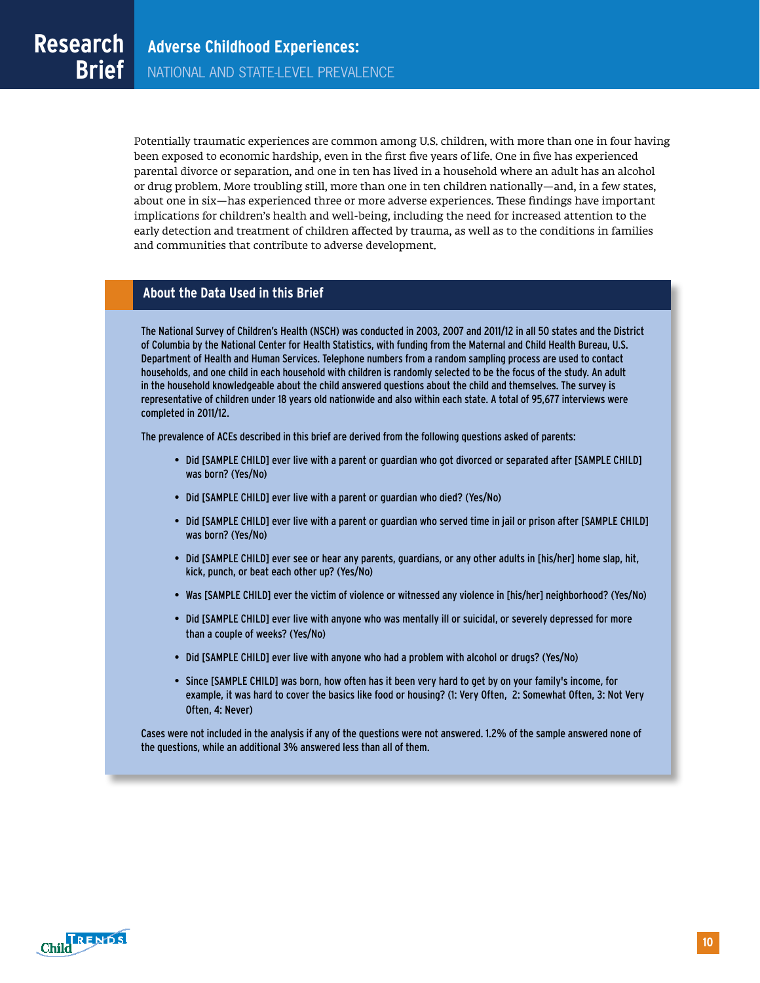Potentially traumatic experiences are common among U.S. children, with more than one in four having been exposed to economic hardship, even in the first five years of life. One in five has experienced parental divorce or separation, and one in ten has lived in a household where an adult has an alcohol or drug problem. More troubling still, more than one in ten children nationally—and, in a few states, about one in six—has experienced three or more adverse experiences. These findings have important implications for children's health and well-being, including the need for increased attention to the early detection and treatment of children affected by trauma, as well as to the conditions in families and communities that contribute to adverse development.

#### **About the Data Used in this Brief**

The National Survey of Children's Health (NSCH) was conducted in 2003, 2007 and 2011/12 in all 50 states and the District of Columbia by the National Center for Health Statistics, with funding from the Maternal and Child Health Bureau, U.S. Department of Health and Human Services. Telephone numbers from a random sampling process are used to contact households, and one child in each household with children is randomly selected to be the focus of the study. An adult in the household knowledgeable about the child answered questions about the child and themselves. The survey is representative of children under 18 years old nationwide and also within each state. A total of 95,677 interviews were completed in 2011/12.

The prevalence of ACEs described in this brief are derived from the following questions asked of parents:

- Did [SAMPLE CHILD] ever live with a parent or guardian who got divorced or separated after [SAMPLE CHILD] was born? (Yes/No)
- Did [SAMPLE CHILD] ever live with a parent or guardian who died? (Yes/No)
- Did [SAMPLE CHILD] ever live with a parent or guardian who served time in jail or prison after [SAMPLE CHILD] was born? (Yes/No)
- Did [SAMPLE CHILD] ever see or hear any parents, guardians, or any other adults in [his/her] home slap, hit, kick, punch, or beat each other up? (Yes/No)
- Was [SAMPLE CHILD] ever the victim of violence or witnessed any violence in [his/her] neighborhood? (Yes/No)
- Did [SAMPLE CHILD] ever live with anyone who was mentally ill or suicidal, or severely depressed for more than a couple of weeks? (Yes/No)
- Did [SAMPLE CHILD] ever live with anyone who had a problem with alcohol or drugs? (Yes/No)
- Since [SAMPLE CHILD] was born, how often has it been very hard to get by on your family's income, for example, it was hard to cover the basics like food or housing? (1: Very Often, 2: Somewhat Often, 3: Not Very Often, 4: Never)

Cases were not included in the analysis if any of the questions were not answered. 1.2% of the sample answered none of the questions, while an additional 3% answered less than all of them.